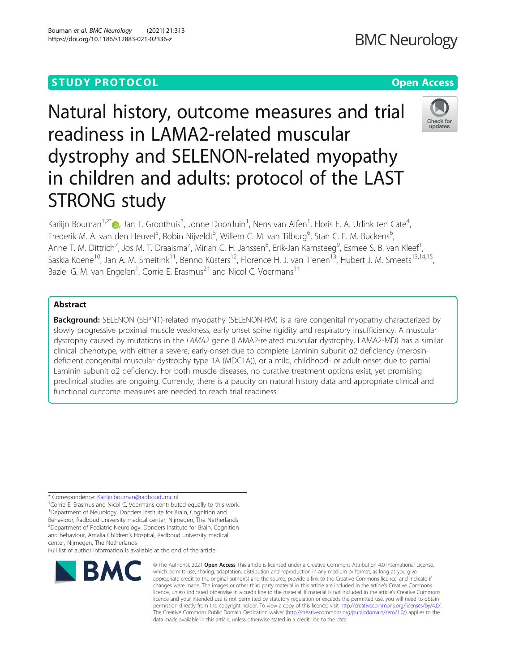# **STUDY PROTOCOL CONSUMING THE RESERVE ACCESS**

# Natural history, outcome measures and trial readiness in LAMA2-related muscular dystrophy and SELENON-related myopathy in children and adults: protocol of the LAST STRONG study

Karlijn Bouman<sup>1,2\*</sup>®, Jan T. Groothuis<sup>3</sup>, Jonne Doorduin<sup>1</sup>, Nens van Alfen<sup>1</sup>, Floris E. A. Udink ten Cate<sup>4</sup> , Frederik M. A. van den Heuvel<sup>5</sup>, Robin Nijveldt<sup>5</sup>, Willem C. M. van Tilburg<sup>6</sup>, Stan C. F. M. Buckens<sup>6</sup> , Anne T. M. Dittrich<sup>7</sup>, Jos M. T. Draaisma<sup>7</sup>, Mirian C. H. Janssen<sup>8</sup>, Erik-Jan Kamsteeg<sup>9</sup>, Esmee S. B. van Kleef<sup>1</sup> , Saskia Koene<sup>10</sup>, Jan A. M. Smeitink<sup>11</sup>, Benno Küsters<sup>12</sup>, Florence H. J. van Tienen<sup>13</sup>, Hubert J. M. Smeets<sup>13,14,15</sup>, Baziel G. M. van Engelen<sup>1</sup>, Corrie E. Erasmus<sup>2†</sup> and Nicol C. Voermans<sup>1†</sup>

# Abstract

**Background:** SELENON (SEPN1)-related myopathy (SELENON-RM) is a rare congenital myopathy characterized by slowly progressive proximal muscle weakness, early onset spine rigidity and respiratory insufficiency. A muscular dystrophy caused by mutations in the LAMA2 gene (LAMA2-related muscular dystrophy, LAMA2-MD) has a similar clinical phenotype, with either a severe, early-onset due to complete Laminin subunit α2 deficiency (merosindeficient congenital muscular dystrophy type 1A (MDC1A)), or a mild, childhood- or adult-onset due to partial Laminin subunit α2 deficiency. For both muscle diseases, no curative treatment options exist, yet promising preclinical studies are ongoing. Currently, there is a paucity on natural history data and appropriate clinical and functional outcome measures are needed to reach trial readiness.

\* Correspondence: [Karlijn.bouman@radboudumc.nl](mailto:Karlijn.bouman@radboudumc.nl) †

<sup>+</sup>Corrie E. Erasmus and Nicol C. Voermans contributed equally to this work. <sup>1</sup>Department of Neurology, Donders Institute for Brain, Cognition and Behaviour, Radboud university medical center, Nijmegen, The Netherlands <sup>2</sup> Department of Pediatric Neurology, Donders Institute for Brain, Cognition and Behaviour, Amalia Children's Hospital, Radboud university medical center, Nijmegen, The Netherlands

Full list of author information is available at the end of the article



<sup>©</sup> The Author(s), 2021 **Open Access** This article is licensed under a Creative Commons Attribution 4.0 International License, which permits use, sharing, adaptation, distribution and reproduction in any medium or format, as long as you give appropriate credit to the original author(s) and the source, provide a link to the Creative Commons licence, and indicate if changes were made. The images or other third party material in this article are included in the article's Creative Commons licence, unless indicated otherwise in a credit line to the material. If material is not included in the article's Creative Commons licence and your intended use is not permitted by statutory regulation or exceeds the permitted use, you will need to obtain permission directly from the copyright holder. To view a copy of this licence, visit [http://creativecommons.org/licenses/by/4.0/.](http://creativecommons.org/licenses/by/4.0/) The Creative Commons Public Domain Dedication waiver [\(http://creativecommons.org/publicdomain/zero/1.0/](http://creativecommons.org/publicdomain/zero/1.0/)) applies to the data made available in this article, unless otherwise stated in a credit line to the data.

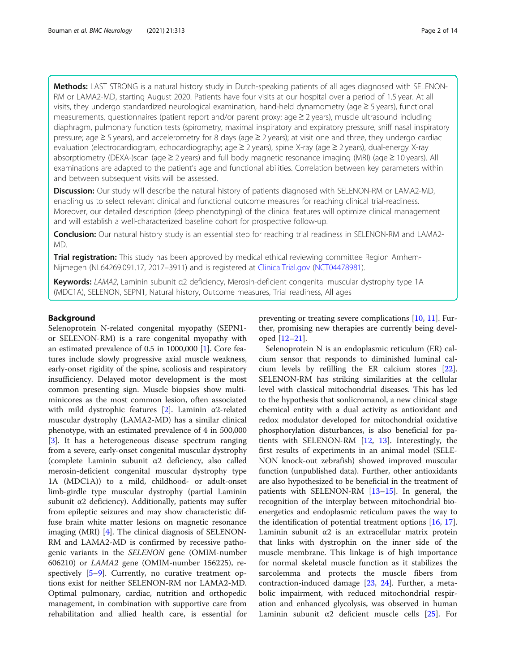Methods: LAST STRONG is a natural history study in Dutch-speaking patients of all ages diagnosed with SELENON-RM or LAMA2-MD, starting August 2020. Patients have four visits at our hospital over a period of 1.5 year. At all visits, they undergo standardized neurological examination, hand-held dynamometry (age ≥ 5 years), functional measurements, questionnaires (patient report and/or parent proxy; age ≥ 2 years), muscle ultrasound including diaphragm, pulmonary function tests (spirometry, maximal inspiratory and expiratory pressure, sniff nasal inspiratory pressure; age ≥ 5 years), and accelerometry for 8 days (age ≥ 2 years); at visit one and three, they undergo cardiac evaluation (electrocardiogram, echocardiography; age ≥ 2 years), spine X-ray (age ≥ 2 years), dual-energy X-ray absorptiometry (DEXA-)scan (age ≥ 2 years) and full body magnetic resonance imaging (MRI) (age ≥ 10 years). All examinations are adapted to the patient's age and functional abilities. Correlation between key parameters within and between subsequent visits will be assessed.

Discussion: Our study will describe the natural history of patients diagnosed with SELENON-RM or LAMA2-MD, enabling us to select relevant clinical and functional outcome measures for reaching clinical trial-readiness. Moreover, our detailed description (deep phenotyping) of the clinical features will optimize clinical management and will establish a well-characterized baseline cohort for prospective follow-up.

Conclusion: Our natural history study is an essential step for reaching trial readiness in SELENON-RM and LAMA2-MD.

**Trial registration:** This study has been approved by medical ethical reviewing committee Region Arnhem-Nijmegen (NL64269.091.17, 2017–3911) and is registered at [ClinicalTrial.gov](http://clinicaltrial.gov) ([NCT04478981\)](https://clinicaltrials.gov/ct2/show/NCT04478981).

Keywords: LAMA2, Laminin subunit α2 deficiency, Merosin-deficient congenital muscular dystrophy type 1A (MDC1A), SELENON, SEPN1, Natural history, Outcome measures, Trial readiness, All ages

# Background

Selenoprotein N-related congenital myopathy (SEPN1 or SELENON-RM) is a rare congenital myopathy with an estimated prevalence of 0.5 in 1000,000 [[1\]](#page-10-0). Core features include slowly progressive axial muscle weakness, early-onset rigidity of the spine, scoliosis and respiratory insufficiency. Delayed motor development is the most common presenting sign. Muscle biopsies show multiminicores as the most common lesion, often associated with mild dystrophic features [\[2](#page-10-0)]. Laminin  $\alpha$ 2-related muscular dystrophy (LAMA2-MD) has a similar clinical phenotype, with an estimated prevalence of 4 in 500,000 [[3\]](#page-10-0). It has a heterogeneous disease spectrum ranging from a severe, early-onset congenital muscular dystrophy (complete Laminin subunit α2 deficiency, also called merosin-deficient congenital muscular dystrophy type 1A (MDC1A)) to a mild, childhood- or adult-onset limb-girdle type muscular dystrophy (partial Laminin subunit  $\alpha$ 2 deficiency). Additionally, patients may suffer from epileptic seizures and may show characteristic diffuse brain white matter lesions on magnetic resonance imaging (MRI) [\[4](#page-10-0)]. The clinical diagnosis of SELENON-RM and LAMA2-MD is confirmed by recessive pathogenic variants in the SELENON gene (OMIM-number 606210) or LAMA2 gene (OMIM-number 156225), respectively [[5](#page-10-0)–[9](#page-10-0)]. Currently, no curative treatment options exist for neither SELENON-RM nor LAMA2-MD. Optimal pulmonary, cardiac, nutrition and orthopedic management, in combination with supportive care from rehabilitation and allied health care, is essential for

preventing or treating severe complications [\[10,](#page-10-0) [11\]](#page-11-0). Further, promising new therapies are currently being developed [[12](#page-11-0)–[21](#page-11-0)].

Selenoprotein N is an endoplasmic reticulum (ER) calcium sensor that responds to diminished luminal calcium levels by refilling the ER calcium stores [\[22](#page-11-0)]. SELENON-RM has striking similarities at the cellular level with classical mitochondrial diseases. This has led to the hypothesis that sonlicromanol, a new clinical stage chemical entity with a dual activity as antioxidant and redox modulator developed for mitochondrial oxidative phosphorylation disturbances, is also beneficial for patients with SELENON-RM [\[12](#page-11-0), [13\]](#page-11-0). Interestingly, the first results of experiments in an animal model (SELE-NON knock-out zebrafish) showed improved muscular function (unpublished data). Further, other antioxidants are also hypothesized to be beneficial in the treatment of patients with SELENON-RM [[13](#page-11-0)–[15](#page-11-0)]. In general, the recognition of the interplay between mitochondrial bioenergetics and endoplasmic reticulum paves the way to the identification of potential treatment options [\[16](#page-11-0), [17](#page-11-0)]. Laminin subunit  $\alpha$ 2 is an extracellular matrix protein that links with dystrophin on the inner side of the muscle membrane. This linkage is of high importance for normal skeletal muscle function as it stabilizes the sarcolemma and protects the muscle fibers from contraction-induced damage [[23](#page-11-0), [24](#page-11-0)]. Further, a metabolic impairment, with reduced mitochondrial respiration and enhanced glycolysis, was observed in human Laminin subunit  $\alpha$ 2 deficient muscle cells [\[25\]](#page-11-0). For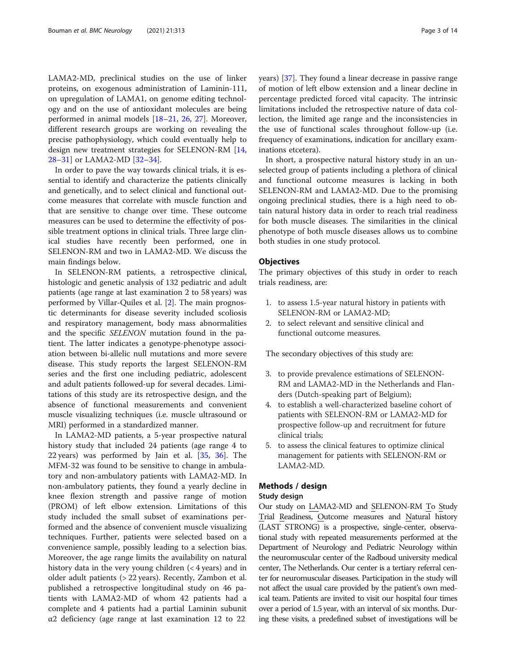LAMA2-MD, preclinical studies on the use of linker proteins, on exogenous administration of Laminin-111, on upregulation of LAMA1, on genome editing technology and on the use of antioxidant molecules are being performed in animal models [\[18](#page-11-0)–[21,](#page-11-0) [26,](#page-11-0) [27](#page-11-0)]. Moreover, different research groups are working on revealing the precise pathophysiology, which could eventually help to design new treatment strategies for SELENON-RM [[14](#page-11-0), [28](#page-11-0)–[31](#page-11-0)] or LAMA2-MD [\[32](#page-11-0)–[34](#page-11-0)].

In order to pave the way towards clinical trials, it is essential to identify and characterize the patients clinically and genetically, and to select clinical and functional outcome measures that correlate with muscle function and that are sensitive to change over time. These outcome measures can be used to determine the effectivity of possible treatment options in clinical trials. Three large clinical studies have recently been performed, one in SELENON-RM and two in LAMA2-MD. We discuss the main findings below.

In SELENON-RM patients, a retrospective clinical, histologic and genetic analysis of 132 pediatric and adult patients (age range at last examination 2 to 58 years) was performed by Villar-Quiles et al. [\[2](#page-10-0)]. The main prognostic determinants for disease severity included scoliosis and respiratory management, body mass abnormalities and the specific SELENON mutation found in the patient. The latter indicates a genotype-phenotype association between bi-allelic null mutations and more severe disease. This study reports the largest SELENON-RM series and the first one including pediatric, adolescent and adult patients followed-up for several decades. Limitations of this study are its retrospective design, and the absence of functional measurements and convenient muscle visualizing techniques (i.e. muscle ultrasound or MRI) performed in a standardized manner.

In LAMA2-MD patients, a 5-year prospective natural history study that included 24 patients (age range 4 to 22 years) was performed by Jain et al. [[35](#page-11-0), [36](#page-11-0)]. The MFM-32 was found to be sensitive to change in ambulatory and non-ambulatory patients with LAMA2-MD. In non-ambulatory patients, they found a yearly decline in knee flexion strength and passive range of motion (PROM) of left elbow extension. Limitations of this study included the small subset of examinations performed and the absence of convenient muscle visualizing techniques. Further, patients were selected based on a convenience sample, possibly leading to a selection bias. Moreover, the age range limits the availability on natural history data in the very young children  $($  < 4 years) and in older adult patients (> 22 years). Recently, Zambon et al. published a retrospective longitudinal study on 46 patients with LAMA2-MD of whom 42 patients had a complete and 4 patients had a partial Laminin subunit α2 deficiency (age range at last examination 12 to 22

years) [[37](#page-11-0)]. They found a linear decrease in passive range of motion of left elbow extension and a linear decline in percentage predicted forced vital capacity. The intrinsic limitations included the retrospective nature of data collection, the limited age range and the inconsistencies in the use of functional scales throughout follow-up (i.e. frequency of examinations, indication for ancillary examinations etcetera).

In short, a prospective natural history study in an unselected group of patients including a plethora of clinical and functional outcome measures is lacking in both SELENON-RM and LAMA2-MD. Due to the promising ongoing preclinical studies, there is a high need to obtain natural history data in order to reach trial readiness for both muscle diseases. The similarities in the clinical phenotype of both muscle diseases allows us to combine both studies in one study protocol.

#### **Objectives**

The primary objectives of this study in order to reach trials readiness, are:

- 1. to assess 1.5-year natural history in patients with SELENON-RM or LAMA2-MD;
- 2. to select relevant and sensitive clinical and functional outcome measures.

The secondary objectives of this study are:

- 3. to provide prevalence estimations of SELENON-RM and LAMA2-MD in the Netherlands and Flanders (Dutch-speaking part of Belgium);
- 4. to establish a well-characterized baseline cohort of patients with SELENON-RM or LAMA2-MD for prospective follow-up and recruitment for future clinical trials;
- 5. to assess the clinical features to optimize clinical management for patients with SELENON-RM or LAMA2-MD.

# Methods / design

#### Study design

Our study on LAMA2-MD and SELENON-RM To Study Trial Readiness, Outcome measures and Natural history (LAST STRONG) is a prospective, single-center, observational study with repeated measurements performed at the Department of Neurology and Pediatric Neurology within the neuromuscular center of the Radboud university medical center, The Netherlands. Our center is a tertiary referral center for neuromuscular diseases. Participation in the study will not affect the usual care provided by the patient's own medical team. Patients are invited to visit our hospital four times over a period of 1.5 year, with an interval of six months. During these visits, a predefined subset of investigations will be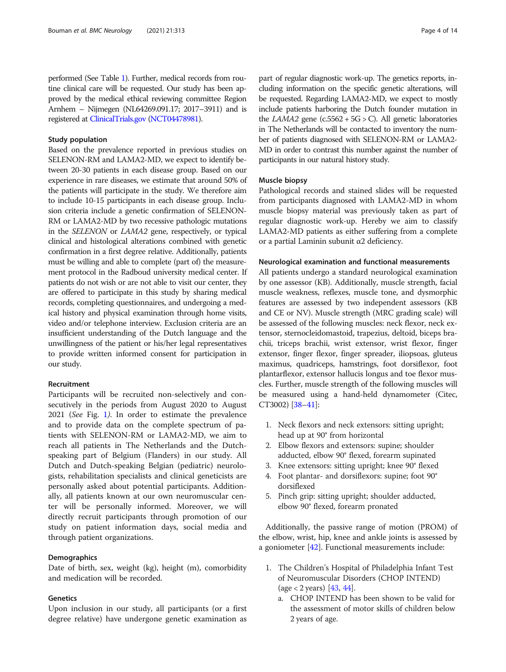performed (See Table [1](#page-4-0)). Further, medical records from routine clinical care will be requested. Our study has been approved by the medical ethical reviewing committee Region Arnhem – Nijmegen (NL64269.091.17; 2017–3911) and is registered at [ClinicalTrials.gov](http://clinicaltrials.gov) [\(NCT04478981\)](https://clinicaltrials.gov/ct2/show/NCT04478981).

# Study population

Based on the prevalence reported in previous studies on SELENON-RM and LAMA2-MD, we expect to identify between 20-30 patients in each disease group. Based on our experience in rare diseases, we estimate that around 50% of the patients will participate in the study. We therefore aim to include 10-15 participants in each disease group. Inclusion criteria include a genetic confirmation of SELENON-RM or LAMA2-MD by two recessive pathologic mutations in the SELENON or LAMA2 gene, respectively, or typical clinical and histological alterations combined with genetic confirmation in a first degree relative. Additionally, patients must be willing and able to complete (part of) the measurement protocol in the Radboud university medical center. If patients do not wish or are not able to visit our center, they are offered to participate in this study by sharing medical records, completing questionnaires, and undergoing a medical history and physical examination through home visits, video and/or telephone interview. Exclusion criteria are an insufficient understanding of the Dutch language and the unwillingness of the patient or his/her legal representatives to provide written informed consent for participation in our study.

# Recruitment

Participants will be recruited non-selectively and consecutively in the periods from August 2020 to August 2021 (See Fig. [1](#page-6-0)). In order to estimate the prevalence and to provide data on the complete spectrum of patients with SELENON-RM or LAMA2-MD, we aim to reach all patients in The Netherlands and the Dutchspeaking part of Belgium (Flanders) in our study. All Dutch and Dutch-speaking Belgian (pediatric) neurologists, rehabilitation specialists and clinical geneticists are personally asked about potential participants. Additionally, all patients known at our own neuromuscular center will be personally informed. Moreover, we will directly recruit participants through promotion of our study on patient information days, social media and through patient organizations.

# **Demographics**

Date of birth, sex, weight (kg), height (m), comorbidity and medication will be recorded.

# **Genetics**

Upon inclusion in our study, all participants (or a first degree relative) have undergone genetic examination as part of regular diagnostic work-up. The genetics reports, including information on the specific genetic alterations, will be requested. Regarding LAMA2-MD, we expect to mostly include patients harboring the Dutch founder mutation in the  $LAMA2$  gene (c.5562 + 5G > C). All genetic laboratories in The Netherlands will be contacted to inventory the number of patients diagnosed with SELENON-RM or LAMA2- MD in order to contrast this number against the number of participants in our natural history study.

# Muscle biopsy

Pathological records and stained slides will be requested from participants diagnosed with LAMA2-MD in whom muscle biopsy material was previously taken as part of regular diagnostic work-up. Hereby we aim to classify LAMA2-MD patients as either suffering from a complete or a partial Laminin subunit α2 deficiency.

# Neurological examination and functional measurements

All patients undergo a standard neurological examination by one assessor (KB). Additionally, muscle strength, facial muscle weakness, reflexes, muscle tone, and dysmorphic features are assessed by two independent assessors (KB and CE or NV). Muscle strength (MRC grading scale) will be assessed of the following muscles: neck flexor, neck extensor, sternocleidomastoid, trapezius, deltoid, biceps brachii, triceps brachii, wrist extensor, wrist flexor, finger extensor, finger flexor, finger spreader, iliopsoas, gluteus maximus, quadriceps, hamstrings, foot dorsiflexor, foot plantarflexor, extensor hallucis longus and toe flexor muscles. Further, muscle strength of the following muscles will be measured using a hand-held dynamometer (Citec, CT3002) [[38](#page-11-0)–[41\]](#page-11-0):

- 1. Neck flexors and neck extensors: sitting upright; head up at 90° from horizontal
- 2. Elbow flexors and extensors: supine; shoulder adducted, elbow 90° flexed, forearm supinated
- 3. Knee extensors: sitting upright; knee 90° flexed
- 4. Foot plantar- and dorsiflexors: supine; foot 90° dorsiflexed
- 5. Pinch grip: sitting upright; shoulder adducted, elbow 90° flexed, forearm pronated

Additionally, the passive range of motion (PROM) of the elbow, wrist, hip, knee and ankle joints is assessed by a goniometer [[42\]](#page-11-0). Functional measurements include:

- 1. The Children's Hospital of Philadelphia Infant Test of Neuromuscular Disorders (CHOP INTEND)  $(\text{age} < 2 \text{ years})$  [\[43,](#page-11-0) [44](#page-11-0)].
	- a. CHOP INTEND has been shown to be valid for the assessment of motor skills of children below 2 years of age.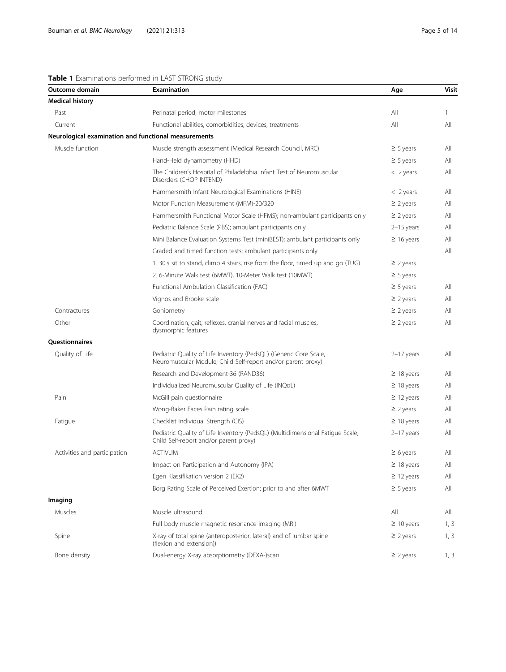| Outcome domain                                       | Examination                                                                                                                       | Age             | Visit |
|------------------------------------------------------|-----------------------------------------------------------------------------------------------------------------------------------|-----------------|-------|
| Medical history                                      |                                                                                                                                   |                 |       |
| Past                                                 | Perinatal period, motor milestones                                                                                                | All             | 1     |
| Current                                              | Functional abilities, comorbidities, devices, treatments                                                                          | All             | All   |
| Neurological examination and functional measurements |                                                                                                                                   |                 |       |
| Muscle function                                      | Muscle strength assessment (Medical Research Council, MRC)                                                                        | $\geq$ 5 years  | All   |
|                                                      | Hand-Held dynamometry (HHD)                                                                                                       | $\geq$ 5 years  | All   |
|                                                      | The Children's Hospital of Philadelphia Infant Test of Neuromuscular<br>Disorders (CHOP INTEND)                                   | $<$ 2 years     | All   |
|                                                      | Hammersmith Infant Neurological Examinations (HINE)                                                                               | $<$ 2 years     | All   |
|                                                      | Motor Function Measurement (MFM)-20/320                                                                                           | $\geq$ 2 years  | All   |
|                                                      | Hammersmith Functional Motor Scale (HFMS); non-ambulant participants only                                                         | $\geq$ 2 years  | All   |
|                                                      | Pediatric Balance Scale (PBS); ambulant participants only                                                                         | $2-15$ years    | All   |
|                                                      | Mini Balance Evaluation Systems Test (miniBEST); ambulant participants only                                                       | $\geq 16$ years | All   |
|                                                      | Graded and timed function tests; ambulant participants only                                                                       |                 | All   |
|                                                      | 1. 30 s sit to stand, climb 4 stairs, rise from the floor, timed up and go (TUG)                                                  | $\geq$ 2 years  |       |
|                                                      | 2. 6-Minute Walk test (6MWT), 10-Meter Walk test (10MWT)                                                                          | $\geq$ 5 years  |       |
|                                                      | Functional Ambulation Classification (FAC)                                                                                        | $\geq$ 5 years  | All   |
|                                                      | Vignos and Brooke scale                                                                                                           | $\geq$ 2 years  | All   |
| Contractures                                         | Goniometry                                                                                                                        | $\geq$ 2 years  | All   |
| Other                                                | Coordination, gait, reflexes, cranial nerves and facial muscles,<br>dysmorphic features                                           | $\geq$ 2 years  | All   |
| Questionnaires                                       |                                                                                                                                   |                 |       |
| Quality of Life                                      | Pediatric Quality of Life Inventory (PedsQL) (Generic Core Scale,<br>Neuromuscular Module; Child Self-report and/or parent proxy) | $2-17$ years    | All   |
|                                                      | Research and Development-36 (RAND36)                                                                                              | $\geq$ 18 years | All   |
|                                                      | Individualized Neuromuscular Quality of Life (INQoL)                                                                              | $\geq$ 18 years | All   |
| Pain                                                 | McGill pain questionnaire                                                                                                         | $\geq$ 12 years | All   |
|                                                      | Wong-Baker Faces Pain rating scale                                                                                                | $\geq$ 2 years  | All   |
| Fatigue                                              | Checklist Individual Strength (CIS)                                                                                               | $\geq$ 18 years | All   |
|                                                      | Pediatric Quality of Life Inventory (PedsQL) (Multidimensional Fatique Scale;<br>Child Self-report and/or parent proxy)           | $2-17$ years    | All   |
| Activities and participation                         | <b>ACTIVLIM</b>                                                                                                                   | $\geq 6$ years  | All   |
|                                                      | Impact on Participation and Autonomy (IPA)                                                                                        | $\geq$ 18 years | All   |
|                                                      | Egen Klassifikation version 2 (EK2)                                                                                               | $\geq$ 12 years | All   |
|                                                      | Borg Rating Scale of Perceived Exertion; prior to and after 6MWT                                                                  | $\geq$ 5 years  | All   |
|                                                      |                                                                                                                                   |                 |       |

# <span id="page-4-0"></span>Table 1 Examinations performed in LAST STRONG study

# Im

|              | DON Rating Scale Of Perceived Exertion, prior to and after owner                                | ∠ D Vedis       | AII |
|--------------|-------------------------------------------------------------------------------------------------|-----------------|-----|
| naging       |                                                                                                 |                 |     |
| Muscles      | Muscle ultrasound                                                                               | All             | All |
|              | Full body muscle magnetic resonance imaging (MRI)                                               | $\geq 10$ years | 1.3 |
| Spine        | X-ray of total spine (anteroposterior, lateral) and of lumbar spine<br>(flexion and extension)) | $\geq$ 2 vears  | 1.3 |
| Bone density | Dual-energy X-ray absorptiometry (DEXA-)scan                                                    | $\geq$ 2 years  |     |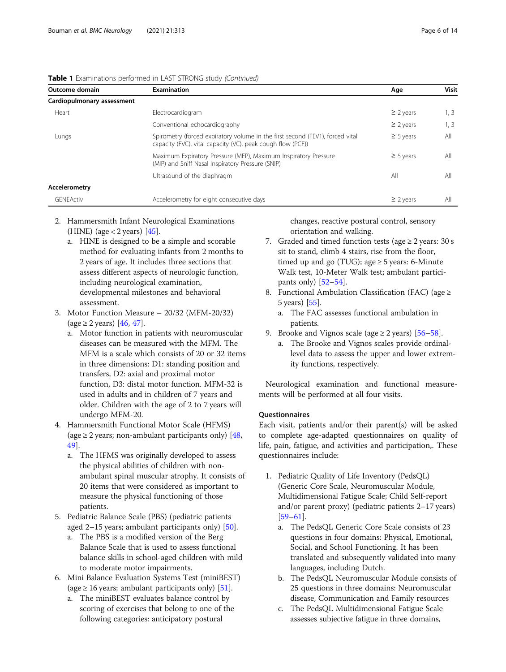| Outcome domain             | Examination                                                                                                                                  | Age            | <b>Visit</b> |
|----------------------------|----------------------------------------------------------------------------------------------------------------------------------------------|----------------|--------------|
| Cardiopulmonary assessment |                                                                                                                                              |                |              |
| Heart                      | Electrocardiogram                                                                                                                            | $\geq$ 2 years | 1, 3         |
|                            | Conventional echocardiography                                                                                                                | $\geq$ 2 years | 1, 3         |
| Lungs                      | Spirometry (forced expiratory volume in the first second (FEV1), forced vital<br>capacity (FVC), vital capacity (VC), peak cough flow (PCF)) | $\geq$ 5 years | All          |
|                            | Maximum Expiratory Pressure (MEP), Maximum Inspiratory Pressure<br>(MIP) and Sniff Nasal Inspiratory Pressure (SNIP)                         | $\geq$ 5 years | All          |
|                            | Ultrasound of the diaphragm                                                                                                                  | All            | All          |
| <b>Accelerometry</b>       |                                                                                                                                              |                |              |
| GENEActiv                  | Accelerometry for eight consecutive days                                                                                                     | $\geq$ 2 years | All          |

Table 1 Examinations performed in LAST STRONG study (Continued)

- 2. Hammersmith Infant Neurological Examinations (HINE) (age < 2 years)  $[45]$  $[45]$ .
	- a. HINE is designed to be a simple and scorable method for evaluating infants from 2 months to 2 years of age. It includes three sections that assess different aspects of neurologic function, including neurological examination, developmental milestones and behavioral assessment.
- 3. Motor Function Measure 20/32 (MFM-20/32)  $(\text{age} ≥ 2 \text{ years})$  [\[46,](#page-11-0) [47\]](#page-11-0).
	- a. Motor function in patients with neuromuscular diseases can be measured with the MFM. The MFM is a scale which consists of 20 or 32 items in three dimensions: D1: standing position and transfers, D2: axial and proximal motor function, D3: distal motor function. MFM-32 is used in adults and in children of 7 years and older. Children with the age of 2 to 7 years will undergo MFM-20.
- 4. Hammersmith Functional Motor Scale (HFMS) (age  $\geq$  2 years; non-ambulant participants only) [[48](#page-11-0), [49\]](#page-11-0).
	- a. The HFMS was originally developed to assess the physical abilities of children with nonambulant spinal muscular atrophy. It consists of 20 items that were considered as important to measure the physical functioning of those patients.
- 5. Pediatric Balance Scale (PBS) (pediatric patients aged 2–15 years; ambulant participants only) [[50](#page-12-0)].
	- a. The PBS is a modified version of the Berg Balance Scale that is used to assess functional balance skills in school-aged children with mild to moderate motor impairments.
- 6. Mini Balance Evaluation Systems Test (miniBEST) (age  $\geq 16$  years; ambulant participants only) [\[51\]](#page-12-0).
	- a. The miniBEST evaluates balance control by scoring of exercises that belong to one of the following categories: anticipatory postural

changes, reactive postural control, sensory orientation and walking.

- 7. Graded and timed function tests (age  $\geq$  2 years: 30 s sit to stand, climb 4 stairs, rise from the floor, timed up and go (TUG); age  $\geq$  5 years: 6-Minute Walk test, 10-Meter Walk test; ambulant participants only)  $[52-54]$  $[52-54]$  $[52-54]$  $[52-54]$ .
- 8. Functional Ambulation Classification (FAC) (age ≥ 5 years) [[55](#page-12-0)].
	- a. The FAC assesses functional ambulation in patients.
- 9. Brooke and Vignos scale (age  $\geq$  2 years) [\[56](#page-12-0)–[58](#page-12-0)].
	- a. The Brooke and Vignos scales provide ordinallevel data to assess the upper and lower extremity functions, respectively.

Neurological examination and functional measurements will be performed at all four visits.

# **Ouestionnaires**

Each visit, patients and/or their parent(s) will be asked to complete age-adapted questionnaires on quality of life, pain, fatigue, and activities and participation,. These questionnaires include:

- 1. Pediatric Quality of Life Inventory (PedsQL) (Generic Core Scale, Neuromuscular Module, Multidimensional Fatigue Scale; Child Self-report and/or parent proxy) (pediatric patients 2–17 years) [[59](#page-12-0)–[61\]](#page-12-0).
	- a. The PedsQL Generic Core Scale consists of 23 questions in four domains: Physical, Emotional, Social, and School Functioning. It has been translated and subsequently validated into many languages, including Dutch.
	- b. The PedsQL Neuromuscular Module consists of 25 questions in three domains: Neuromuscular disease, Communication and Family resources
	- c. The PedsQL Multidimensional Fatigue Scale assesses subjective fatigue in three domains,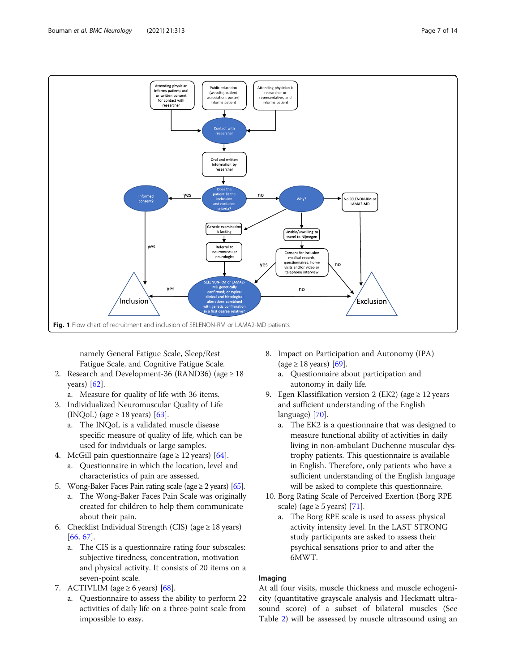<span id="page-6-0"></span>

namely General Fatigue Scale, Sleep/Rest Fatigue Scale, and Cognitive Fatigue Scale.

- 2. Research and Development-36 (RAND36) (age  $\geq 18$ years) [[62\]](#page-12-0).
	- a. Measure for quality of life with 36 items.
- 3. Individualized Neuromuscular Quality of Life (INQoL) (age  $\geq$  18 years) [\[63\]](#page-12-0).
	- a. The INQoL is a validated muscle disease specific measure of quality of life, which can be used for individuals or large samples.
- 4. McGill pain questionnaire (age  $\geq$  12 years) [[64](#page-12-0)].
	- a. Questionnaire in which the location, level and characteristics of pain are assessed.
- 5. Wong-Baker Faces Pain rating scale (age  $\geq$  2 years) [[65\]](#page-12-0).
	- a. The Wong-Baker Faces Pain Scale was originally created for children to help them communicate about their pain.
- 6. Checklist Individual Strength (CIS) (age  $\geq$  18 years) [\[66](#page-12-0), [67\]](#page-12-0).
	- a. The CIS is a questionnaire rating four subscales: subjective tiredness, concentration, motivation and physical activity. It consists of 20 items on a seven-point scale.
- 7. ACTIVLIM (age  $\geq 6$  years) [[68](#page-12-0)].
	- a. Questionnaire to assess the ability to perform 22 activities of daily life on a three-point scale from impossible to easy.
- 8. Impact on Participation and Autonomy (IPA) (age  $\geq$  18 years) [\[69\]](#page-12-0).
	- a. Questionnaire about participation and autonomy in daily life.
- 9. Egen Klassifikation version 2 (EK2) (age  $\geq$  12 years and sufficient understanding of the English language) [[70](#page-12-0)].
	- a. The EK2 is a questionnaire that was designed to measure functional ability of activities in daily living in non-ambulant Duchenne muscular dystrophy patients. This questionnaire is available in English. Therefore, only patients who have a sufficient understanding of the English language will be asked to complete this questionnaire.
- 10. Borg Rating Scale of Perceived Exertion (Borg RPE scale) (age  $\geq$  5 years) [[71](#page-12-0)].
	- a. The Borg RPE scale is used to assess physical activity intensity level. In the LAST STRONG study participants are asked to assess their psychical sensations prior to and after the 6MWT.

# Imaging

At all four visits, muscle thickness and muscle echogenicity (quantitative grayscale analysis and Heckmatt ultrasound score) of a subset of bilateral muscles (See Table [2](#page-7-0)) will be assessed by muscle ultrasound using an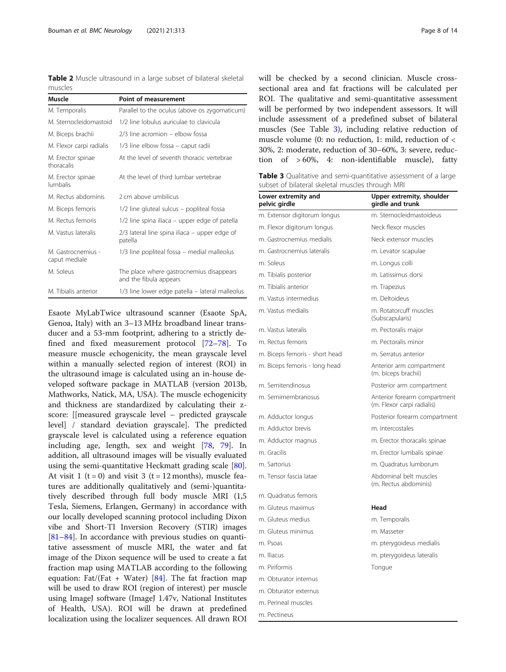<span id="page-7-0"></span>Table 2 Muscle ultrasound in a large subset of bilateral skeletal muscles

| Muscle                               | <b>Point of measurement</b>                                        |
|--------------------------------------|--------------------------------------------------------------------|
| M. Temporalis                        | Parallel to the oculus (above os zygomaticum)                      |
| M. Sternocleidomastoid               | 1/2 line lobulus auriculae to clavicula                            |
| M. Biceps brachii                    | 2/3 line acromion – elbow fossa                                    |
| M. Flexor carpi radialis             | 1/3 line elbow fossa - caput radii                                 |
| M. Erector spinae<br>thoracalis      | At the level of seventh thoracic vertebrae                         |
| M. Erector spinae<br><b>lumbalis</b> | At the level of third lumbar vertebrae                             |
| M. Rectus abdominis                  | 2 cm above umbilicus                                               |
| M. Biceps femoris                    | 1/2 line gluteal sulcus – popliteal fossa                          |
| M Rectus femoris                     | 1/2 line spina iliaca – upper edge of patella                      |
| M Vastus lateralis                   | 2/3 lateral line spina iliaca – upper edge of<br>patella           |
| M. Gastrocnemius -<br>caput mediale  | 1/3 line popliteal fossa – medial malleolus                        |
| M. Soleus                            | The place where gastrocnemius disappears<br>and the fibula appears |
| M. Tibialis anterior                 | 1/3 line lower edge patella - lateral malleolus                    |
|                                      |                                                                    |

Esaote MyLabTwice ultrasound scanner (Esaote SpA, Genoa, Italy) with an 3–13 MHz broadband linear transducer and a 53-mm footprint, adhering to a strictly defined and fixed measurement protocol [[72](#page-12-0)–[78](#page-12-0)]. To measure muscle echogenicity, the mean grayscale level within a manually selected region of interest (ROI) in the ultrasound image is calculated using an in-house developed software package in MATLAB (version 2013b, Mathworks, Natick, MA, USA). The muscle echogenicity and thickness are standardized by calculating their zscore: [[measured grayscale level – predicted grayscale level] / standard deviation grayscale]. The predicted grayscale level is calculated using a reference equation including age, length, sex and weight [\[78,](#page-12-0) [79](#page-12-0)]. In addition, all ultrasound images will be visually evaluated using the semi-quantitative Heckmatt grading scale [\[80](#page-12-0)]. At visit 1 ( $t = 0$ ) and visit 3 ( $t = 12$  months), muscle features are additionally qualitatively and (semi-)quantitatively described through full body muscle MRI (1,5 Tesla, Siemens, Erlangen, Germany) in accordance with our locally developed scanning protocol including Dixon vibe and Short-TI Inversion Recovery (STIR) images [[81](#page-12-0)–[84](#page-12-0)]. In accordance with previous studies on quantitative assessment of muscle MRI, the water and fat image of the Dixon sequence will be used to create a fat fraction map using MATLAB according to the following equation: Fat/(Fat + Water) [[84\]](#page-12-0). The fat fraction map will be used to draw ROI (region of interest) per muscle using ImageJ software (ImageJ 1.47v, National Institutes of Health, USA). ROI will be drawn at predefined localization using the localizer sequences. All drawn ROI will be checked by a second clinician. Muscle crosssectional area and fat fractions will be calculated per ROI. The qualitative and semi-quantitative assessment will be performed by two independent assessors. It will include assessment of a predefined subset of bilateral muscles (See Table 3), including relative reduction of muscle volume (0: no reduction, 1: mild, reduction of < 30%, 2: moderate, reduction of 30–60%, 3: severe, reduction of > 60%, 4: non-identifiable muscle), fatty

Table 3 Qualitative and semi-quantitative assessment of a large subset of bilateral skeletal muscles through MRI

| Lower extremity and<br>pelvic girdle | Upper extremity, shoulder<br>girdle and trunk              |
|--------------------------------------|------------------------------------------------------------|
| m. Extensor digitorum longus         | m. Sternocleidmastoideus                                   |
| m. Flexor digitorum longus           | Neck flexor muscles                                        |
| m. Gastrocnemius medialis            | Neck extensor muscles                                      |
| m. Gastrocnemius lateralis           | m. Levator scapulae                                        |
| m. Soleus                            | m. Longus colli                                            |
| m. Tibialis posterior                | m. Latissimus dorsi                                        |
| m. Tibialis anterior                 | m. Trapezius                                               |
| m. Vastus intermedius                | m. Deltoideus                                              |
| m. Vastus medialis                   | m. Rotatorcuff muscles<br>(Subscapularis)                  |
| m. Vastus lateralis                  | m. Pectoralis major                                        |
| m. Rectus femoris                    | m. Pectoralis minor                                        |
| m. Biceps femoris - short head       | m. Serratus anterior                                       |
| m. Biceps femoris - long head        | Anterior arm compartment<br>(m. biceps brachii)            |
| m. Semitendinosus                    | Posterior arm compartment                                  |
| m. Semimembranosus                   | Anterior forearm compartment<br>(m. Flexor carpi radialis) |
| m. Adductor longus                   | Posterior forearm compartment                              |
| m. Adductor brevis                   | m. Intercostales                                           |
| m. Adductor magnus                   | m. Erector thoracalis spinae                               |
| m. Gracilis                          | m. Erector lumbalis spinae                                 |
| m. Sartorius                         | m. Quadratus lumborum                                      |
| m. Tensor fascia latae               | Abdominal belt muscles<br>(m. Rectus abdominis)            |
| m. Ouadratus femoris                 |                                                            |
| m. Gluteus maximus                   | Head                                                       |
| m. Gluteus medius                    | m. Temporalis                                              |
| m. Gluteus minimus                   | m. Masseter                                                |
| m. Psoas                             | m. pterygoideus medialis                                   |
| m. Iliacus                           | m. pterygoideus lateralis                                  |
| m. Piriformis                        | Tongue                                                     |
| m. Obturator internus                |                                                            |
| m Obturator externus                 |                                                            |

m. Perineal muscles m. Pectineus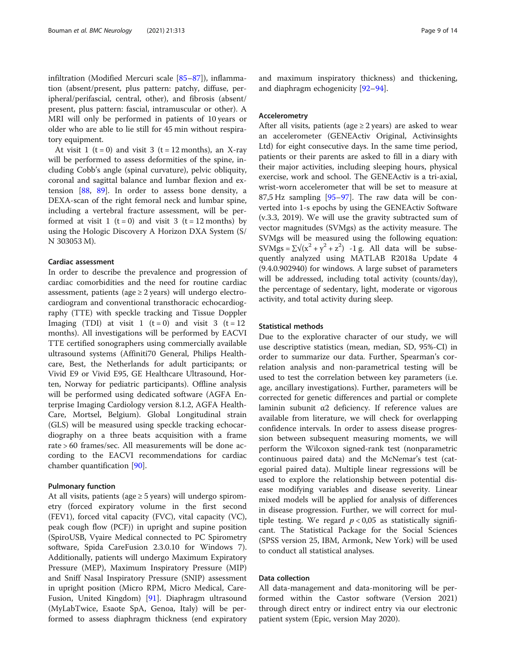infiltration (Modified Mercuri scale [[85](#page-12-0)–[87](#page-12-0)]), inflammation (absent/present, plus pattern: patchy, diffuse, peripheral/perifascial, central, other), and fibrosis (absent/ present, plus pattern: fascial, intramuscular or other). A MRI will only be performed in patients of 10 years or older who are able to lie still for 45 min without respiratory equipment.

At visit 1 (t = 0) and visit 3 (t = 12 months), an X-ray will be performed to assess deformities of the spine, including Cobb's angle (spinal curvature), pelvic obliquity, coronal and sagittal balance and lumbar flexion and extension [[88,](#page-12-0) [89\]](#page-12-0). In order to assess bone density, a DEXA-scan of the right femoral neck and lumbar spine, including a vertebral fracture assessment, will be performed at visit 1 (t = 0) and visit 3 (t = 12 months) by using the Hologic Discovery A Horizon DXA System (S/ N 303053 M).

#### Cardiac assessment

In order to describe the prevalence and progression of cardiac comorbidities and the need for routine cardiac assessment, patients (age  $\geq$  2 years) will undergo electrocardiogram and conventional transthoracic echocardiography (TTE) with speckle tracking and Tissue Doppler Imaging (TDI) at visit 1  $(t = 0)$  and visit 3  $(t = 12)$ months). All investigations will be performed by EACVI TTE certified sonographers using commercially available ultrasound systems (Affiniti70 General, Philips Healthcare, Best, the Netherlands for adult participants; or Vivid E9 or Vivid E95, GE Healthcare Ultrasound, Horten, Norway for pediatric participants). Offline analysis will be performed using dedicated software (AGFA Enterprise Imaging Cardiology version 8.1.2, AGFA Health-Care, Mortsel, Belgium). Global Longitudinal strain (GLS) will be measured using speckle tracking echocardiography on a three beats acquisition with a frame rate > 60 frames/sec. All measurements will be done according to the EACVI recommendations for cardiac chamber quantification [[90\]](#page-12-0).

# Pulmonary function

At all visits, patients (age  $\geq$  5 years) will undergo spirometry (forced expiratory volume in the first second (FEV1), forced vital capacity (FVC), vital capacity (VC), peak cough flow (PCF)) in upright and supine position (SpiroUSB, Vyaire Medical connected to PC Spirometry software, Spida CareFusion 2.3.0.10 for Windows 7). Additionally, patients will undergo Maximum Expiratory Pressure (MEP), Maximum Inspiratory Pressure (MIP) and Sniff Nasal Inspiratory Pressure (SNIP) assessment in upright position (Micro RPM, Micro Medical, Care-Fusion, United Kingdom) [[91\]](#page-12-0). Diaphragm ultrasound (MyLabTwice, Esaote SpA, Genoa, Italy) will be performed to assess diaphragm thickness (end expiratory and maximum inspiratory thickness) and thickening, and diaphragm echogenicity [\[92](#page-13-0)–[94\]](#page-13-0).

# Accelerometry

After all visits, patients (age  $\geq$  2 years) are asked to wear an accelerometer (GENEActiv Original, Activinsights Ltd) for eight consecutive days. In the same time period, patients or their parents are asked to fill in a diary with their major activities, including sleeping hours, physical exercise, work and school. The GENEActiv is a tri-axial, wrist-worn accelerometer that will be set to measure at 87,5 Hz sampling [[95](#page-13-0)–[97](#page-13-0)]. The raw data will be converted into 1-s epochs by using the GENEActiv Software (v.3.3, 2019). We will use the gravity subtracted sum of vector magnitudes (SVMgs) as the activity measure. The SVMgs will be measured using the following equation: SVMgs =  $\sum \sqrt{x^2 + y^2 + z^2}$  -1 g. All data will be subsequently analyzed using MATLAB R2018a Update 4 (9.4.0.902940) for windows. A large subset of parameters will be addressed, including total activity (counts/day), the percentage of sedentary, light, moderate or vigorous activity, and total activity during sleep.

# Statistical methods

Due to the explorative character of our study, we will use descriptive statistics (mean, median, SD, 95%-CI) in order to summarize our data. Further, Spearman's correlation analysis and non-parametrical testing will be used to test the correlation between key parameters (i.e. age, ancillary investigations). Further, parameters will be corrected for genetic differences and partial or complete laminin subunit α2 deficiency. If reference values are available from literature, we will check for overlapping confidence intervals. In order to assess disease progression between subsequent measuring moments, we will perform the Wilcoxon signed-rank test (nonparametric continuous paired data) and the McNemar's test (categorial paired data). Multiple linear regressions will be used to explore the relationship between potential disease modifying variables and disease severity. Linear mixed models will be applied for analysis of differences in disease progression. Further, we will correct for multiple testing. We regard  $p < 0.05$  as statistically significant. The Statistical Package for the Social Sciences (SPSS version 25, IBM, Armonk, New York) will be used to conduct all statistical analyses.

# Data collection

All data-management and data-monitoring will be performed within the Castor software (Version 2021) through direct entry or indirect entry via our electronic patient system (Epic, version May 2020).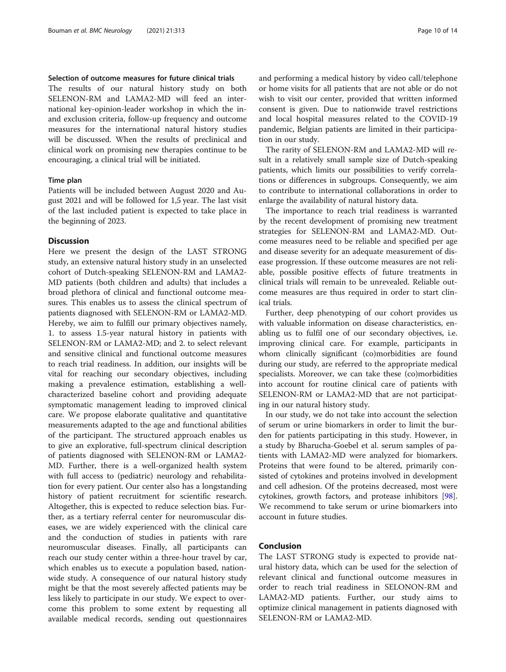# Selection of outcome measures for future clinical trials

The results of our natural history study on both SELENON-RM and LAMA2-MD will feed an international key-opinion-leader workshop in which the inand exclusion criteria, follow-up frequency and outcome measures for the international natural history studies will be discussed. When the results of preclinical and clinical work on promising new therapies continue to be encouraging, a clinical trial will be initiated.

# Time plan

Patients will be included between August 2020 and August 2021 and will be followed for 1,5 year. The last visit of the last included patient is expected to take place in the beginning of 2023.

# Discussion

Here we present the design of the LAST STRONG study, an extensive natural history study in an unselected cohort of Dutch-speaking SELENON-RM and LAMA2- MD patients (both children and adults) that includes a broad plethora of clinical and functional outcome measures. This enables us to assess the clinical spectrum of patients diagnosed with SELENON-RM or LAMA2-MD. Hereby, we aim to fulfill our primary objectives namely, 1. to assess 1.5-year natural history in patients with SELENON-RM or LAMA2-MD; and 2. to select relevant and sensitive clinical and functional outcome measures to reach trial readiness. In addition, our insights will be vital for reaching our secondary objectives, including making a prevalence estimation, establishing a wellcharacterized baseline cohort and providing adequate symptomatic management leading to improved clinical care. We propose elaborate qualitative and quantitative measurements adapted to the age and functional abilities of the participant. The structured approach enables us to give an explorative, full-spectrum clinical description of patients diagnosed with SELENON-RM or LAMA2- MD. Further, there is a well-organized health system with full access to (pediatric) neurology and rehabilitation for every patient. Our center also has a longstanding history of patient recruitment for scientific research. Altogether, this is expected to reduce selection bias. Further, as a tertiary referral center for neuromuscular diseases, we are widely experienced with the clinical care and the conduction of studies in patients with rare neuromuscular diseases. Finally, all participants can reach our study center within a three-hour travel by car, which enables us to execute a population based, nationwide study. A consequence of our natural history study might be that the most severely affected patients may be less likely to participate in our study. We expect to overcome this problem to some extent by requesting all available medical records, sending out questionnaires and performing a medical history by video call/telephone or home visits for all patients that are not able or do not wish to visit our center, provided that written informed consent is given. Due to nationwide travel restrictions and local hospital measures related to the COVID-19 pandemic, Belgian patients are limited in their participation in our study.

The rarity of SELENON-RM and LAMA2-MD will result in a relatively small sample size of Dutch-speaking patients, which limits our possibilities to verify correlations or differences in subgroups. Consequently, we aim to contribute to international collaborations in order to enlarge the availability of natural history data.

The importance to reach trial readiness is warranted by the recent development of promising new treatment strategies for SELENON-RM and LAMA2-MD. Outcome measures need to be reliable and specified per age and disease severity for an adequate measurement of disease progression. If these outcome measures are not reliable, possible positive effects of future treatments in clinical trials will remain to be unrevealed. Reliable outcome measures are thus required in order to start clinical trials.

Further, deep phenotyping of our cohort provides us with valuable information on disease characteristics, enabling us to fulfil one of our secondary objectives, i.e. improving clinical care. For example, participants in whom clinically significant (co)morbidities are found during our study, are referred to the appropriate medical specialists. Moreover, we can take these (co)morbidities into account for routine clinical care of patients with SELENON-RM or LAMA2-MD that are not participating in our natural history study.

In our study, we do not take into account the selection of serum or urine biomarkers in order to limit the burden for patients participating in this study. However, in a study by Bharucha-Goebel et al. serum samples of patients with LAMA2-MD were analyzed for biomarkers. Proteins that were found to be altered, primarily consisted of cytokines and proteins involved in development and cell adhesion. Of the proteins decreased, most were cytokines, growth factors, and protease inhibitors [\[98](#page-13-0)]. We recommend to take serum or urine biomarkers into account in future studies.

# Conclusion

The LAST STRONG study is expected to provide natural history data, which can be used for the selection of relevant clinical and functional outcome measures in order to reach trial readiness in SELONON-RM and LAMA2-MD patients. Further, our study aims to optimize clinical management in patients diagnosed with SELENON-RM or LAMA2-MD.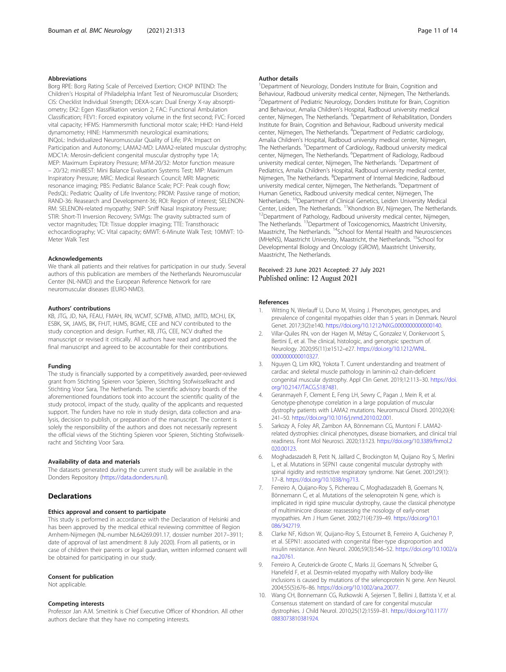# <span id="page-10-0"></span>Abbreviations

Borg RPE: Borg Rating Scale of Perceived Exertion; CHOP INTEND: The Children's Hospital of Philadelphia Infant Test of Neuromuscular Disorders; CIS: Checklist Individual Strength; DEXA-scan: Dual Energy X-ray absorptiometry; EK2: Egen Klassifikation version 2; FAC: Functional Ambulation Classification; FEV1: Forced expiratory volume in the first second; FVC: Forced vital capacity; HFMS: Hammersmith functional motor scale; HHD: Hand-Held dynamometry; HINE: Hammersmith neurological examinations; INQoL: Individualized Neuromuscular Quality of Life; IPA: Impact on Participation and Autonomy; LAMA2-MD: LAMA2-related muscular dystrophy; MDC1A: Merosin-deficient congenital muscular dystrophy type 1A; MEP: Maximum Expiratory Pressure; MFM-20/32: Motor function measure – 20/32; miniBEST: Mini Balance Evaluation Systems Test; MIP: Maximum Inspiratory Pressure; MRC: Medical Research Council; MRI: Magnetic resonance imaging; PBS: Pediatric Balance Scale; PCF: Peak cough flow; PedsQL: Pediatric Quality of Life Inventory; PROM: Passive range of motion; RAND-36: Reasearch and Development-36; ROI: Region of interest; SELENON-RM: SELENON-related myopathy; SNIP: Sniff Nasal Inspiratory Pressure; STIR: Short-TI Inversion Recovery; SVMgs: The gravity subtracted sum of vector magnitudes; TDI: Tissue doppler imaging; TTE: Transthoracic echocardiography; VC: Vital capacity; 6MWT: 6-Minute Walk Test; 10MWT: 10- Meter Walk Test

#### Acknowledgements

We thank all patients and their relatives for participation in our study. Several authors of this publication are members of the Netherlands Neuromuscular Center (NL-NMD) and the European Reference Network for rare neuromuscular diseases (EURO-NMD).

#### Authors' contributions

KB, JTG, JD, NA, FEAU, FMAH, RN, WCMT, SCFMB, ATMD, JMTD, MCHJ, EK, ESBK, SK, JAMS, BK, FHJT, HJMS, BGME, CEE and NCV contributed to the study conception and design. Further, KB, JTG, CEE, NCV drafted the manuscript or revised it critically. All authors have read and approved the final manuscript and agreed to be accountable for their contributions.

#### Funding

The study is financially supported by a competitively awarded, peer-reviewed grant from Stichting Spieren voor Spieren, Stichting Stofwisselkracht and Stichting Voor Sara, The Netherlands. The scientific advisory boards of the aforementioned foundations took into account the scientific quality of the study protocol, impact of the study, quality of the applicants and requested support. The funders have no role in study design, data collection and analysis, decision to publish, or preparation of the manuscript. The content is solely the responsibility of the authors and does not necessarily represent the official views of the Stichting Spieren voor Spieren, Stichting Stofwisselkracht and Stichting Voor Sara.

#### Availability of data and materials

The datasets generated during the current study will be available in the Donders Repository ([https://data.donders.ru.nl\)](https://data.donders.ru.nl).

# **Declarations**

#### Ethics approval and consent to participate

This study is performed in accordance with the Declaration of Helsinki and has been approved by the medical ethical reviewing committee of Region Arnhem-Nijmegen (NL-number NL64269.091.17, dossier number 2017–3911; date of approval of last amendment: 8 July 2020). From all patients, or in case of children their parents or legal guardian, written informed consent will be obtained for participating in our study.

#### Consent for publication

Not applicable.

#### Competing interests

Professor Jan A.M. Smeitink is Chief Executive Officer of Khondrion. All other authors declare that they have no competing interests.

#### Author details

<sup>1</sup>Department of Neurology, Donders Institute for Brain, Cognition and Behaviour, Radboud university medical center, Nijmegen, The Netherlands. <sup>2</sup> Department of Pediatric Neurology, Donders Institute for Brain, Cognition and Behaviour, Amalia Children's Hospital, Radboud university medical center, Nijmegen, The Netherlands. <sup>3</sup>Department of Rehabilitation, Donders Institute for Brain, Cognition and Behaviour, Radboud university medical center, Nijmegen, The Netherlands. <sup>4</sup>Department of Pediatric cardiology, Amalia Children's Hospital, Radboud university medical center, Nijmegen, The Netherlands. <sup>5</sup>Department of Cardiology, Radboud university medical center, Nijmegen, The Netherlands. <sup>6</sup>Department of Radiology, Radboud university medical center, Nijmegen, The Netherlands. <sup>7</sup>Department of Pediatrics, Amalia Children's Hospital, Radboud university medical center, Nijmegen, The Netherlands. <sup>8</sup>Department of Internal Medicine, Radboud university medical center, Nijmegen, The Netherlands. <sup>9</sup>Department of Human Genetics, Radboud university medical center, Nijmegen, The Netherlands. <sup>10</sup>Department of Clinical Genetics, Leiden University Medical<br>Center, Leiden, The Netherlands. <sup>11</sup>Khondrion BV, Nijmegen, The Netherlands. <sup>12</sup>Department of Pathology, Radboud university medical center, Nijmegen, The Netherlands. <sup>13</sup>Department of Toxicogenomics, Maastricht University, Maastricht, The Netherlands. 14School for Mental Health and Neurosciences (MHeNS), Maastricht University, Maastricht, the Netherlands. <sup>15</sup>School for Developmental Biology and Oncology (GROW), Maastricht University, Maastricht, The Netherlands.

# Received: 23 June 2021 Accepted: 27 July 2021 Published online: 12 August 2021

#### References

- 1. Witting N, Werlauff U, Duno M, Vissing J. Phenotypes, genotypes, and prevalence of congenital myopathies older than 5 years in Denmark. Neurol Genet. 2017;3(2):e140. <https://doi.org/10.1212/NXG.0000000000000140>.
- 2. Villar-Quiles RN, von der Hagen M, Métay C, Gonzalez V, Donkervoort S, Bertini E, et al. The clinical, histologic, and genotypic spectrum of. Neurology. 2020;95(11):e1512–e27. [https://doi.org/10.1212/WNL.](https://doi.org/10.1212/WNL.0000000000010327) [0000000000010327](https://doi.org/10.1212/WNL.0000000000010327).
- 3. Nguyen Q, Lim KRQ, Yokota T. Current understanding and treatment of cardiac and skeletal muscle pathology in laminin-α2 chain-deficient congenital muscular dystrophy. Appl Clin Genet. 2019;12:113–30. [https://doi.](https://doi.org/10.2147/TACG.S187481) [org/10.2147/TACG.S187481.](https://doi.org/10.2147/TACG.S187481)
- 4. Geranmayeh F, Clement E, Feng LH, Sewry C, Pagan J, Mein R, et al. Genotype-phenotype correlation in a large population of muscular dystrophy patients with LAMA2 mutations. Neuromuscul Disord. 2010;20(4): 241–50. <https://doi.org/10.1016/j.nmd.2010.02.001>.
- 5. Sarkozy A, Foley AR, Zambon AA, Bönnemann CG, Muntoni F. LAMA2 related dystrophies: clinical phenotypes, disease biomarkers, and clinical trial readiness. Front Mol Neurosci. 2020;13:123. [https://doi.org/10.3389/fnmol.2](https://doi.org/10.3389/fnmol.2020.00123) [020.00123](https://doi.org/10.3389/fnmol.2020.00123).
- 6. Moghadaszadeh B, Petit N, Jaillard C, Brockington M, Quijano Roy S, Merlini L, et al. Mutations in SEPN1 cause congenital muscular dystrophy with spinal rigidity and restrictive respiratory syndrome. Nat Genet. 2001;29(1): 17–8. [https://doi.org/10.1038/ng713.](https://doi.org/10.1038/ng713)
- 7. Ferreiro A, Quijano-Roy S, Pichereau C, Moghadaszadeh B, Goemans N, Bönnemann C, et al. Mutations of the selenoprotein N gene, which is implicated in rigid spine muscular dystrophy, cause the classical phenotype of multiminicore disease: reassessing the nosology of early-onset myopathies. Am J Hum Genet. 2002;71(4):739–49. [https://doi.org/10.1](https://doi.org/10.1086/342719) [086/342719.](https://doi.org/10.1086/342719)
- 8. Clarke NF, Kidson W, Quijano-Roy S, Estournet B, Ferreiro A, Guicheney P, et al. SEPN1: associated with congenital fiber-type disproportion and insulin resistance. Ann Neurol. 2006;59(3):546–52. [https://doi.org/10.1002/a](https://doi.org/10.1002/ana.20761) [na.20761.](https://doi.org/10.1002/ana.20761)
- 9. Ferreiro A, Ceuterick-de Groote C, Marks JJ, Goemans N, Schreiber G, Hanefeld F, et al. Desmin-related myopathy with Mallory body-like inclusions is caused by mutations of the selenoprotein N gene. Ann Neurol. 2004;55(5):676–86. <https://doi.org/10.1002/ana.20077>.
- 10. Wang CH, Bonnemann CG, Rutkowski A, Sejersen T, Bellini J, Battista V, et al. Consensus statement on standard of care for congenital muscular dystrophies. J Child Neurol. 2010;25(12):1559–81. [https://doi.org/10.1177/](https://doi.org/10.1177/0883073810381924) [0883073810381924](https://doi.org/10.1177/0883073810381924).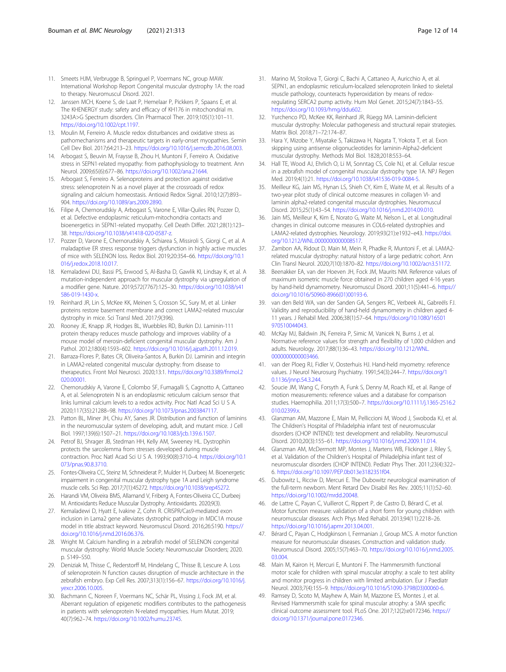- <span id="page-11-0"></span>11. Smeets HJM, Verbrugge B, Springuel P, Voermans NC, group MAW. International Workshop Report Congenital muscular dystrophy 1A: the road to therapy. Neuromuscul Disord. 2021.
- 12. Janssen MCH, Koene S, de Laat P, Hemelaar P, Pickkers P, Spaans E, et al. The KHENERGY study: safety and efficacy of KH176 in mitochondrial m. 3243A>G Spectrum disorders. Clin Pharmacol Ther. 2019;105(1):101–11. [https://doi.org/10.1002/cpt.1197.](https://doi.org/10.1002/cpt.1197)
- 13. Moulin M, Ferreiro A. Muscle redox disturbances and oxidative stress as pathomechanisms and therapeutic targets in early-onset myopathies. Semin Cell Dev Biol. 2017;64:213–23. [https://doi.org/10.1016/j.semcdb.2016.08.003.](https://doi.org/10.1016/j.semcdb.2016.08.003)
- 14. Arbogast S, Beuvin M, Fraysse B, Zhou H, Muntoni F, Ferreiro A. Oxidative stress in SEPN1-related myopathy: from pathophysiology to treatment. Ann Neurol. 2009;65(6):677–86. [https://doi.org/10.1002/ana.21644.](https://doi.org/10.1002/ana.21644)
- 15. Arbogast S, Ferreiro A. Selenoproteins and protection against oxidative stress: selenoprotein N as a novel player at the crossroads of redox signaling and calcium homeostasis. Antioxid Redox Signal. 2010;12(7):893– 904. <https://doi.org/10.1089/ars.2009.2890>.
- 16. Filipe A, Chernorudskiy A, Arbogast S, Varone E, Villar-Quiles RN, Pozzer D, et al. Defective endoplasmic reticulum-mitochondria contacts and bioenergetics in SEPN1-related myopathy. Cell Death Differ. 2021;28(1):123– 38. [https://doi.org/10.1038/s41418-020-0587-z.](https://doi.org/10.1038/s41418-020-0587-z)
- 17. Pozzer D, Varone E, Chernorudskiy A, Schiarea S, Missiroli S, Giorgi C, et al. A maladaptive ER stress response triggers dysfunction in highly active muscles of mice with SELENON loss. Redox Biol. 2019;20:354–66. [https://doi.org/10.1](https://doi.org/10.1016/j.redox.2018.10.017) [016/j.redox.2018.10.017](https://doi.org/10.1016/j.redox.2018.10.017).
- 18. Kemaladewi DU, Bassi PS, Erwood S, Al-Basha D, Gawlik KI, Lindsay K, et al. A mutation-independent approach for muscular dystrophy via upregulation of a modifier gene. Nature. 2019;572(7767):125–30. [https://doi.org/10.1038/s41](https://doi.org/10.1038/s41586-019-1430-x) [586-019-1430-x](https://doi.org/10.1038/s41586-019-1430-x).
- 19. Reinhard JR, Lin S, McKee KK, Meinen S, Crosson SC, Sury M, et al. Linker proteins restore basement membrane and correct LAMA2-related muscular dystrophy in mice. Sci Transl Med. 2017;9(396).
- 20. Rooney JE, Knapp JR, Hodges BL, Wuebbles RD, Burkin DJ. Laminin-111 protein therapy reduces muscle pathology and improves viability of a mouse model of merosin-deficient congenital muscular dystrophy. Am J Pathol. 2012;180(4):1593–602. [https://doi.org/10.1016/j.ajpath.2011.12.019.](https://doi.org/10.1016/j.ajpath.2011.12.019)
- 21. Barraza-Flores P, Bates CR, Oliveira-Santos A, Burkin DJ. Laminin and integrin in LAMA2-related congenital muscular dystrophy: from disease to therapeutics. Front Mol Neurosci. 2020;13:1. [https://doi.org/10.3389/fnmol.2](https://doi.org/10.3389/fnmol.2020.00001) [020.00001](https://doi.org/10.3389/fnmol.2020.00001).
- 22. Chernorudskiy A, Varone E, Colombo SF, Fumagalli S, Cagnotto A, Cattaneo A, et al. Selenoprotein N is an endoplasmic reticulum calcium sensor that links luminal calcium levels to a redox activity. Proc Natl Acad Sci U S A. 2020;117(35):21288–98. <https://doi.org/10.1073/pnas.2003847117>.
- 23. Patton BL, Miner JH, Chiu AY, Sanes JR. Distribution and function of laminins in the neuromuscular system of developing, adult, and mutant mice. J Cell Biol. 1997;139(6):1507–21. [https://doi.org/10.1083/jcb.139.6.1507.](https://doi.org/10.1083/jcb.139.6.1507)
- 24. Petrof BJ, Shrager JB, Stedman HH, Kelly AM, Sweeney HL. Dystrophin protects the sarcolemma from stresses developed during muscle contraction. Proc Natl Acad Sci U S A. 1993;90(8):3710–4. [https://doi.org/10.1](https://doi.org/10.1073/pnas.90.8.3710) [073/pnas.90.8.3710](https://doi.org/10.1073/pnas.90.8.3710).
- 25. Fontes-Oliveira CC, Steinz M, Schneiderat P, Mulder H, Durbeej M. Bioenergetic impairment in congenital muscular dystrophy type 1A and Leigh syndrome muscle cells. Sci Rep. 2017;7(1):45272. <https://doi.org/10.1038/srep45272>.
- 26. Harandi VM, Oliveira BMS, Allamand V, Friberg A, Fontes-Oliveira CC, Durbeej M. Antioxidants Reduce Muscular Dystrophy. Antioxidants. 2020;9(3).
- 27. Kemaladewi D, Hyatt E, Ivakine Z, Cohn R. CRISPR/Cas9-mediated exon inclusion in Lama2 gene alleviates dystrophic pathology in MDC1A mouse model in title abstract keyword. Neuromuscul Disord. 2016;26:S190. [https://](https://doi.org/10.1016/j.nmd.2016.06.376) [doi.org/10.1016/j.nmd.2016.06.376.](https://doi.org/10.1016/j.nmd.2016.06.376)
- 28. Wright M. Calcium handling in a zebrafish model of SELENON congenital muscular dystrophy: World Muscle Society: Neuromuscular Disorders; 2020. p. S149–S50.
- 29. Deniziak M, Thisse C, Rederstorff M, Hindelang C, Thisse B, Lescure A. Loss of selenoprotein N function causes disruption of muscle architecture in the zebrafish embryo. Exp Cell Res. 2007;313(1):156–67. [https://doi.org/10.1016/j.](https://doi.org/10.1016/j.yexcr.2006.10.005) [yexcr.2006.10.005.](https://doi.org/10.1016/j.yexcr.2006.10.005)
- 30. Bachmann C, Noreen F, Voermans NC, Schär PL, Vissing J, Fock JM, et al. Aberrant regulation of epigenetic modifiers contributes to the pathogenesis in patients with selenoprotein N-related myopathies. Hum Mutat. 2019; 40(7):962–74. <https://doi.org/10.1002/humu.23745>.
- 31. Marino M, Stoilova T, Giorgi C, Bachi A, Cattaneo A, Auricchio A, et al. SEPN1, an endoplasmic reticulum-localized selenoprotein linked to skeletal muscle pathology, counteracts hyperoxidation by means of redoxregulating SERCA2 pump activity. Hum Mol Genet. 2015;24(7):1843–55. <https://doi.org/10.1093/hmg/ddu602>.
- 32. Yurchenco PD, McKee KK, Reinhard JR, Rüegg MA. Laminin-deficient muscular dystrophy: Molecular pathogenesis and structural repair strategies. Matrix Biol. 2018;71–72:174–87.
- 33. Hara Y, Mizobe Y, Miyatake S, Takizawa H, Nagata T, Yokota T, et al. Exon skipping using antisense oligonucleotides for laminin-Alpha2-deficient muscular dystrophy. Methods Mol Biol. 1828;2018:553–64.
- 34. Hall TE, Wood AJ, Ehrlich O, Li M, Sonntag CS, Cole NJ, et al. Cellular rescue in a zebrafish model of congenital muscular dystrophy type 1A. NPJ Regen Med. 2019;4(1):21. [https://doi.org/10.1038/s41536-019-0084-5.](https://doi.org/10.1038/s41536-019-0084-5)
- 35. Meilleur KG, Jain MS, Hynan LS, Shieh CY, Kim E, Waite M, et al. Results of a two-year pilot study of clinical outcome measures in collagen VI- and laminin alpha2-related congenital muscular dystrophies. Neuromuscul Disord. 2015;25(1):43–54. [https://doi.org/10.1016/j.nmd.2014.09.010.](https://doi.org/10.1016/j.nmd.2014.09.010)
- 36. Jain MS, Meilleur K, Kim E, Norato G, Waite M, Nelson L, et al. Longitudinal changes in clinical outcome measures in COL6-related dystrophies and LAMA2-related dystrophies. Neurology. 2019;93(21):e1932–e43. [https://doi.](https://doi.org/10.1212/WNL.0000000000008517) [org/10.1212/WNL.0000000000008517](https://doi.org/10.1212/WNL.0000000000008517).
- 37. Zambon AA, Ridout D, Main M, Mein R, Phadke R, Muntoni F, et al. LAMA2 related muscular dystrophy: natural history of a large pediatric cohort. Ann Clin Transl Neurol. 2020;7(10):1870–82. [https://doi.org/10.1002/acn3.51172.](https://doi.org/10.1002/acn3.51172)
- 38. Beenakker EA, van der Hoeven JH, Fock JM, Maurits NM. Reference values of maximum isometric muscle force obtained in 270 children aged 4-16 years by hand-held dynamometry. Neuromuscul Disord. 2001;11(5):441–6. [https://](https://doi.org/10.1016/S0960-8966(01)00193-6) [doi.org/10.1016/S0960-8966\(01\)00193-6](https://doi.org/10.1016/S0960-8966(01)00193-6).
- 39. van den Beld WA, van der Sanden GA, Sengers RC, Verbeek AL, Gabreëls FJ. Validity and reproducibility of hand-held dynamometry in children aged 4- 11 years. J Rehabil Med. 2006;38(1):57–64. [https://doi.org/10.1080/16501](https://doi.org/10.1080/16501970510044043) [970510044043.](https://doi.org/10.1080/16501970510044043)
- 40. McKay MJ, Baldwin JN, Ferreira P, Simic M, Vanicek N, Burns J, et al. Normative reference values for strength and flexibility of 1,000 children and adults. Neurology. 2017;88(1):36–43. [https://doi.org/10.1212/WNL.](https://doi.org/10.1212/WNL.0000000000003466) [0000000000003466](https://doi.org/10.1212/WNL.0000000000003466)
- 41. van der Ploeg RJ, Fidler V, Oosterhuis HJ. Hand-held myometry: reference values. J Neurol Neurosurg Psychiatry. 1991;54(3):244–7. [https://doi.org/1](https://doi.org/10.1136/jnnp.54.3.244) [0.1136/jnnp.54.3.244](https://doi.org/10.1136/jnnp.54.3.244).
- 42. Soucie JM, Wang C, Forsyth A, Funk S, Denny M, Roach KE, et al. Range of motion measurements: reference values and a database for comparison studies. Haemophilia. 2011;17(3):500–7. [https://doi.org/10.1111/j.1365-2516.2](https://doi.org/10.1111/j.1365-2516.2010.02399.x) [010.02399.x](https://doi.org/10.1111/j.1365-2516.2010.02399.x).
- 43. Glanzman AM, Mazzone E, Main M, Pelliccioni M, Wood J, Swoboda KJ, et al. The Children's Hospital of Philadelphia infant test of neuromuscular disorders (CHOP INTEND): test development and reliability. Neuromuscul Disord. 2010;20(3):155–61. [https://doi.org/10.1016/j.nmd.2009.11.014.](https://doi.org/10.1016/j.nmd.2009.11.014)
- 44. Glanzman AM, McDermott MP, Montes J, Martens WB, Flickinger J, Riley S, et al. Validation of the Children's Hospital of Philadelphia infant test of neuromuscular disorders (CHOP INTEND). Pediatr Phys Ther. 2011;23(4):322– 6. [https://doi.org/10.1097/PEP.0b013e3182351f04.](https://doi.org/10.1097/PEP.0b013e3182351f04)
- 45. Dubowitz L, Ricciw D, Mercuri E. The Dubowitz neurological examination of the full-term newborn. Ment Retard Dev Disabil Res Rev. 2005;11(1):52–60. [https://doi.org/10.1002/mrdd.20048.](https://doi.org/10.1002/mrdd.20048)
- 46. de Lattre C, Payan C, Vuillerot C, Rippert P, de Castro D, Bérard C, et al. Motor function measure: validation of a short form for young children with neuromuscular diseases. Arch Phys Med Rehabil. 2013;94(11):2218–26. [https://doi.org/10.1016/j.apmr.2013.04.001.](https://doi.org/10.1016/j.apmr.2013.04.001)
- 47. Bérard C, Payan C, Hodgkinson I, Fermanian J, Group MCS. A motor function measure for neuromuscular diseases. Construction and validation study. Neuromuscul Disord. 2005;15(7):463–70. [https://doi.org/10.1016/j.nmd.2005.](https://doi.org/10.1016/j.nmd.2005.03.004) [03.004](https://doi.org/10.1016/j.nmd.2005.03.004).
- 48. Main M, Kairon H, Mercuri E, Muntoni F. The Hammersmith functional motor scale for children with spinal muscular atrophy: a scale to test ability and monitor progress in children with limited ambulation. Eur J Paediatr Neurol. 2003;7(4):155–9. [https://doi.org/10.1016/S1090-3798\(03\)00060-6](https://doi.org/10.1016/S1090-3798(03)00060-6).
- 49. Ramsey D, Scoto M, Mayhew A, Main M, Mazzone ES, Montes J, et al. Revised Hammersmith scale for spinal muscular atrophy: a SMA specific clinical outcome assessment tool. PLoS One. 2017;12(2):e0172346. [https://](https://doi.org/10.1371/journal.pone.0172346) [doi.org/10.1371/journal.pone.0172346.](https://doi.org/10.1371/journal.pone.0172346)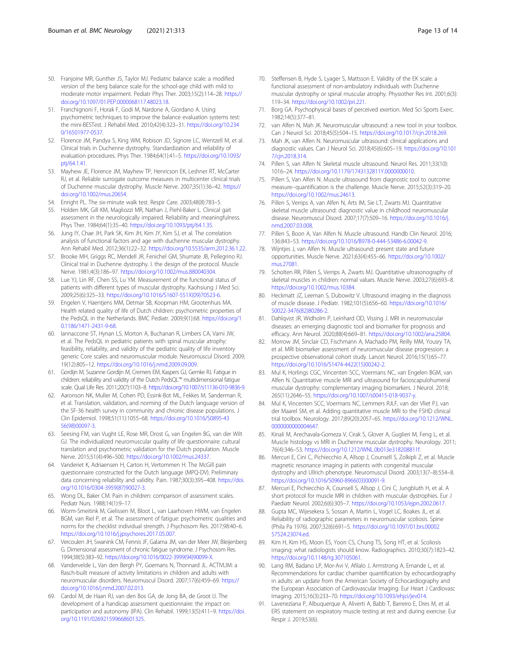- <span id="page-12-0"></span>50. Franjoine MR, Gunther JS, Taylor MJ. Pediatric balance scale: a modified version of the berg balance scale for the school-age child with mild to moderate motor impairment. Pediatr Phys Ther. 2003;15(2):114–28. [https://](https://doi.org/10.1097/01.PEP.0000068117.48023.18) [doi.org/10.1097/01.PEP.0000068117.48023.18](https://doi.org/10.1097/01.PEP.0000068117.48023.18).
- 51. Franchignoni F, Horak F, Godi M, Nardone A, Giordano A. Using psychometric techniques to improve the balance evaluation systems test: the mini-BESTest. J Rehabil Med. 2010;42(4):323–31. [https://doi.org/10.234](https://doi.org/10.2340/16501977-0537) [0/16501977-0537.](https://doi.org/10.2340/16501977-0537)
- 52. Florence JM, Pandya S, King WM, Robison JD, Signore LC, Wentzell M, et al. Clinical trials in Duchenne dystrophy. Standardization and reliability of evaluation procedures. Phys Ther. 1984;64(1):41–5. [https://doi.org/10.1093/](https://doi.org/10.1093/ptj/64.1.41) [ptj/64.1.41](https://doi.org/10.1093/ptj/64.1.41).
- 53. Mayhew JE, Florence JM, Mayhew TP, Henricson EK, Leshner RT, McCarter RJ, et al. Reliable surrogate outcome measures in multicenter clinical trials of Duchenne muscular dystrophy. Muscle Nerve. 2007;35(1):36–42. [https://](https://doi.org/10.1002/mus.20654) [doi.org/10.1002/mus.20654.](https://doi.org/10.1002/mus.20654)
- 54. Enright PL. The six-minute walk test. Respir Care. 2003;48(8):783–5.
- 55. Holden MK, Gill KM, Magliozzi MR, Nathan J, Piehl-Baker L. Clinical gait assessment in the neurologically impaired. Reliability and meaningfulness. Phys Ther. 1984;64(1):35–40. [https://doi.org/10.1093/ptj/64.1.35.](https://doi.org/10.1093/ptj/64.1.35)
- 56. Jung IY, Chae JH, Park SK, Kim JH, Kim JY, Kim SJ, et al. The correlation analysis of functional factors and age with duchenne muscular dystrophy. Ann Rehabil Med. 2012;36(1):22–32. [https://doi.org/10.5535/arm.2012.36.1.22.](https://doi.org/10.5535/arm.2012.36.1.22)
- 57. Brooke MH, Griggs RC, Mendell JR, Fenichel GM, Shumate JB, Pellegrino RJ. Clinical trial in Duchenne dystrophy. I. the design of the protocol. Muscle Nerve. 1981;4(3):186–97. <https://doi.org/10.1002/mus.880040304>.
- 58. Lue YJ, Lin RF, Chen SS, Lu YM. Measurement of the functional status of patients with different types of muscular dystrophy. Kaohsiung J Med Sci. 2009;25(6):325–33. [https://doi.org/10.1016/S1607-551X\(09\)70523-6](https://doi.org/10.1016/S1607-551X(09)70523-6).
- 59. Engelen V, Haentjens MM, Detmar SB, Koopman HM, Grootenhuis MA. Health related quality of life of Dutch children: psychometric properties of the PedsQL in the Netherlands. BMC Pediatr. 2009;9(1):68. [https://doi.org/1](https://doi.org/10.1186/1471-2431-9-68) [0.1186/1471-2431-9-68](https://doi.org/10.1186/1471-2431-9-68).
- 60. Iannaccone ST, Hynan LS, Morton A, Buchanan R, Limbers CA, Varni JW, et al. The PedsQL in pediatric patients with spinal muscular atrophy: feasibility, reliability, and validity of the pediatric quality of life inventory generic Core scales and neuromuscular module. Neuromuscul Disord. 2009; 19(12):805–12. [https://doi.org/10.1016/j.nmd.2009.09.009.](https://doi.org/10.1016/j.nmd.2009.09.009)
- 61. Gordijn M, Suzanne Gordijn M, Cremers EM, Kaspers GJ, Gemke RJ. Fatigue in children: reliability and validity of the Dutch PedsQL™ multidimensional fatigue scale. Qual Life Res. 2011;20(7):1103–8. [https://doi.org/10.1007/s11136-010-9836-9.](https://doi.org/10.1007/s11136-010-9836-9)
- 62. Aaronson NK, Muller M, Cohen PD, Essink-Bot ML, Fekkes M, Sanderman R, et al. Translation, validation, and norming of the Dutch language version of the SF-36 health survey in community and chronic disease populations. J Clin Epidemiol. 1998;51(11):1055–68. [https://doi.org/10.1016/S0895-43](https://doi.org/10.1016/S0895-4356(98)00097-3) [56\(98\)00097-3.](https://doi.org/10.1016/S0895-4356(98)00097-3)
- 63. Seesing FM, van Vught LE, Rose MR, Drost G, van Engelen BG, van der Wilt GJ. The individualized neuromuscular quality of life questionnaire: cultural translation and psychometric validation for the Dutch population. Muscle Nerve. 2015;51(4):496–500. [https://doi.org/10.1002/mus.24337.](https://doi.org/10.1002/mus.24337)
- 64. Vanderiet K, Adriaensen H, Carton H, Vertommen H. The McGill pain questionnaire constructed for the Dutch language (MPQ-DV). Preliminary data concerning reliability and validity. Pain. 1987;30(3):395–408. [https://doi.](https://doi.org/10.1016/0304-3959(87)90027-3) [org/10.1016/0304-3959\(87\)90027-3](https://doi.org/10.1016/0304-3959(87)90027-3).
- 65. Wong DL, Baker CM. Pain in children: comparison of assessment scales. Pediatr Nurs. 1988;14(1):9–17.
- 66. Worm-Smeitink M, Gielissen M, Bloot L, van Laarhoven HWM, van Engelen BGM, van Riel P, et al. The assessment of fatigue: psychometric qualities and norms for the checklist individual strength. J Psychosom Res. 2017;98:40–6. [https://doi.org/10.1016/j.jpsychores.2017.05.007.](https://doi.org/10.1016/j.jpsychores.2017.05.007)
- 67. Vercoulen JH, Swanink CM, Fennis JF, Galama JM, van der Meer JW, Bleijenberg G. Dimensional assessment of chronic fatigue syndrome. J Psychosom Res. 1994;38(5):383–92. [https://doi.org/10.1016/0022-3999\(94\)90099-X.](https://doi.org/10.1016/0022-3999(94)90099-X)
- 68. Vandervelde L, Van den Bergh PY, Goemans N, Thonnard JL. ACTIVLIM: a Rasch-built measure of activity limitations in children and adults with neuromuscular disorders. Neuromuscul Disord. 2007;17(6):459–69. [https://](https://doi.org/10.1016/j.nmd.2007.02.013) [doi.org/10.1016/j.nmd.2007.02.013.](https://doi.org/10.1016/j.nmd.2007.02.013)
- 69. Cardol M, de Haan RJ, van den Bos GA, de Jong BA, de Groot IJ. The development of a handicap assessment questionnaire: the impact on participation and autonomy (IPA). Clin Rehabil. 1999;13(5):411–9. [https://doi.](https://doi.org/10.1191/026921599668601325) [org/10.1191/026921599668601325](https://doi.org/10.1191/026921599668601325).
- 70. Steffensen B, Hyde S, Lyager S, Mattsson E. Validity of the EK scale: a functional assessment of non-ambulatory individuals with Duchenne muscular dystrophy or spinal muscular atrophy. Physiother Res Int. 2001;6(3): 119–34. [https://doi.org/10.1002/pri.221.](https://doi.org/10.1002/pri.221)
- 71. Borg GA. Psychophysical bases of perceived exertion. Med Sci Sports Exerc. 1982;14(5):377–81.
- 72. van Alfen N, Mah JK. Neuromuscular ultrasound: a new tool in your toolbox. Can J Neurol Sci. 2018;45(5):504–15. [https://doi.org/10.1017/cjn.2018.269.](https://doi.org/10.1017/cjn.2018.269)
- 73. Mah JK, van Alfen N. Neuromuscular ultrasound: clinical applications and diagnostic values. Can J Neurol Sci. 2018;45(6):605–19. [https://doi.org/10.101](https://doi.org/10.1017/cjn.2018.314) [7/cjn.2018.314](https://doi.org/10.1017/cjn.2018.314).
- 74. Pillen S, van Alfen N. Skeletal muscle ultrasound. Neurol Res. 2011;33(10): 1016–24. <https://doi.org/10.1179/1743132811Y.0000000010>.
- 75. Pillen S, Van Alfen N. Muscle ultrasound from diagnostic tool to outcome measure--quantification is the challenge. Muscle Nerve. 2015;52(3):319–20. <https://doi.org/10.1002/mus.24613>.
- 76. Pillen S, Verrips A, van Alfen N, Arts IM, Sie LT, Zwarts MJ. Quantitative skeletal muscle ultrasound: diagnostic value in childhood neuromuscular disease. Neuromuscul Disord. 2007;17(7):509–16. [https://doi.org/10.1016/j.](https://doi.org/10.1016/j.nmd.2007.03.008) [nmd.2007.03.008](https://doi.org/10.1016/j.nmd.2007.03.008).
- 77. Pillen S, Boon A, Van Alfen N. Muscle ultrasound. Handb Clin Neurol. 2016; 136:843–53. <https://doi.org/10.1016/B978-0-444-53486-6.00042-9>.
- 78. Wijntjes J, van Alfen N. Muscle ultrasound: present state and future opportunities. Muscle Nerve. 2021;63(4):455–66. [https://doi.org/10.1002/](https://doi.org/10.1002/mus.27081) [mus.27081](https://doi.org/10.1002/mus.27081).
- 79. Scholten RR, Pillen S, Verrips A, Zwarts MJ. Quantitative ultrasonography of skeletal muscles in children: normal values. Muscle Nerve. 2003;27(6):693–8. <https://doi.org/10.1002/mus.10384>.
- 80. Heckmatt JZ, Leeman S, Dubowitz V. Ultrasound imaging in the diagnosis of muscle disease. J Pediatr. 1982;101(5):656–60. [https://doi.org/10.1016/](https://doi.org/10.1016/S0022-3476(82)80286-2) [S0022-3476\(82\)80286-2](https://doi.org/10.1016/S0022-3476(82)80286-2).
- 81. Dahlqvist JR, Widholm P, Leinhard OD, Vissing J. MRI in neuromuscular diseases: an emerging diagnostic tool and biomarker for prognosis and efficacy. Ann Neurol. 2020;88(4):669–81. [https://doi.org/10.1002/ana.25804.](https://doi.org/10.1002/ana.25804)
- 82. Morrow JM, Sinclair CD, Fischmann A, Machado PM, Reilly MM, Yousry TA, et al. MRI biomarker assessment of neuromuscular disease progression: a prospective observational cohort study. Lancet Neurol. 2016;15(1):65–77. [https://doi.org/10.1016/S1474-4422\(15\)00242-2.](https://doi.org/10.1016/S1474-4422(15)00242-2)
- 83. Mul K, Horlings CGC, Vincenten SCC, Voermans NC, van Engelen BGM, van Alfen N. Quantitative muscle MRI and ultrasound for facioscapulohumeral muscular dystrophy: complementary imaging biomarkers. J Neurol. 2018; 265(11):2646–55. <https://doi.org/10.1007/s00415-018-9037-y>.
- 84. Mul K, Vincenten SCC, Voermans NC, Lemmers RJLF, van der Vliet PJ, van der Maarel SM, et al. Adding quantitative muscle MRI to the FSHD clinical trial toolbox. Neurology. 2017;89(20):2057–65. [https://doi.org/10.1212/WNL.](https://doi.org/10.1212/WNL.0000000000004647) [0000000000004647](https://doi.org/10.1212/WNL.0000000000004647).
- 85. Kinali M, Arechavala-Gomeza V, Cirak S, Glover A, Guglieri M, Feng L, et al. Muscle histology vs MRI in Duchenne muscular dystrophy. Neurology. 2011; 76(4):346–53. <https://doi.org/10.1212/WNL.0b013e318208811f>.
- 86. Mercuri E, Cini C, Pichiecchio A, Allsop J, Counsell S, Zolkipli Z, et al. Muscle magnetic resonance imaging in patients with congenital muscular dystrophy and Ullrich phenotype. Neuromuscul Disord. 2003;13(7–8):554–8. [https://doi.org/10.1016/S0960-8966\(03\)00091-9.](https://doi.org/10.1016/S0960-8966(03)00091-9)
- 87. Mercuri E, Pichiecchio A, Counsell S, Allsop J, Cini C, Jungbluth H, et al. A short protocol for muscle MRI in children with muscular dystrophies. Eur J Paediatr Neurol. 2002;6(6):305–7. [https://doi.org/10.1053/ejpn.2002.0617.](https://doi.org/10.1053/ejpn.2002.0617)
- 88. Gupta MC, Wijesekera S, Sossan A, Martin L, Vogel LC, Boakes JL, et al. Reliability of radiographic parameters in neuromuscular scoliosis. Spine (Phila Pa 1976). 2007;32(6):691–5. [https://doi.org/10.1097/01.brs.00002](https://doi.org/10.1097/01.brs.0000257524.23074.ed) [57524.23074.ed.](https://doi.org/10.1097/01.brs.0000257524.23074.ed)
- 89. Kim H, Kim HS, Moon ES, Yoon CS, Chung TS, Song HT, et al. Scoliosis imaging: what radiologists should know. Radiographics. 2010;30(7):1823–42. [https://doi.org/10.1148/rg.307105061.](https://doi.org/10.1148/rg.307105061)
- 90. Lang RM, Badano LP, Mor-Avi V, Afilalo J, Armstrong A, Ernande L, et al. Recommendations for cardiac chamber quantification by echocardiography in adults: an update from the American Society of Echocardiography and the European Association of Cardiovascular Imaging. Eur Heart J Cardiovasc Imaging. 2015;16(3):233–70. [https://doi.org/10.1093/ehjci/jev014.](https://doi.org/10.1093/ehjci/jev014)
- 91. Laveneziana P, Albuquerque A, Aliverti A, Babb T, Barreiro E, Dres M, et al. ERS statement on respiratory muscle testing at rest and during exercise. Eur Respir J. 2019;53(6).